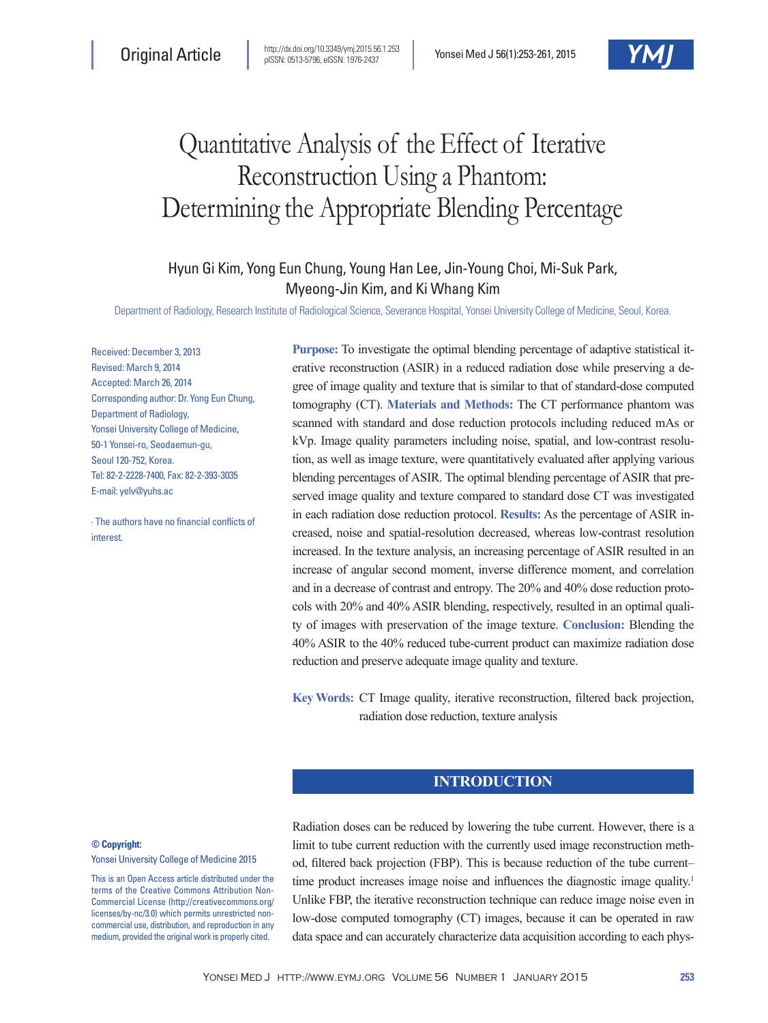# Quantitative Analysis of the Effect of Iterative Reconstruction Using a Phantom: Determining the Appropriate Blending Percentage

# Hyun Gi Kim, Yong Eun Chung, Young Han Lee, Jin-Young Choi, Mi-Suk Park, Myeong-Jin Kim, and Ki Whang Kim

Department of Radiology, Research Institute of Radiological Science, Severance Hospital, Yonsei University College of Medicine, Seoul, Korea.

Received: December 3, 2013 Revised: March 9, 2014 Accepted: March 26, 2014 Corresponding author: Dr. Yong Eun Chung, Department of Radiology, Yonsei University College of Medicine, 50-1 Yonsei-ro, Seodaemun-gu, Seoul 120-752, Korea. Tel: 82-2-2228-7400, Fax: 82-2-393-3035 E-mail: yelv@yuhs.ac

∙ The authors have no financial conflicts of interest.

**Purpose:** To investigate the optimal blending percentage of adaptive statistical iterative reconstruction (ASIR) in a reduced radiation dose while preserving a degree of image quality and texture that is similar to that of standard-dose computed tomography (CT). **Materials and Methods:** The CT performance phantom was scanned with standard and dose reduction protocols including reduced mAs or kVp. Image quality parameters including noise, spatial, and low-contrast resolution, as well as image texture, were quantitatively evaluated after applying various blending percentages of ASIR. The optimal blending percentage of ASIR that preserved image quality and texture compared to standard dose CT was investigated in each radiation dose reduction protocol. **Results:** As the percentage of ASIR increased, noise and spatial-resolution decreased, whereas low-contrast resolution increased. In the texture analysis, an increasing percentage of ASIR resulted in an increase of angular second moment, inverse difference moment, and correlation and in a decrease of contrast and entropy. The 20% and 40% dose reduction protocols with 20% and 40% ASIR blending, respectively, resulted in an optimal quality of images with preservation of the image texture. **Conclusion:** Blending the 40% ASIR to the 40% reduced tube-current product can maximize radiation dose reduction and preserve adequate image quality and texture.

**Key Words:** CT Image quality, iterative reconstruction, filtered back projection, radiation dose reduction, texture analysis

# **INTRODUCTION**

#### **© Copyright:**

Yonsei University College of Medicine 2015

This is an Open Access article distributed under the terms of the Creative Commons Attribution Non-Commercial License (http://creativecommons.org/ licenses/by-nc/3.0) which permits unrestricted noncommercial use, distribution, and reproduction in any medium, provided the original work is properly cited.

Radiation doses can be reduced by lowering the tube current. However, there is a limit to tube current reduction with the currently used image reconstruction method, filtered back projection (FBP). This is because reduction of the tube currenttime product increases image noise and influences the diagnostic image quality.<sup>1</sup> Unlike FBP, the iterative reconstruction technique can reduce image noise even in low-dose computed tomography (CT) images, because it can be operated in raw data space and can accurately characterize data acquisition according to each phys-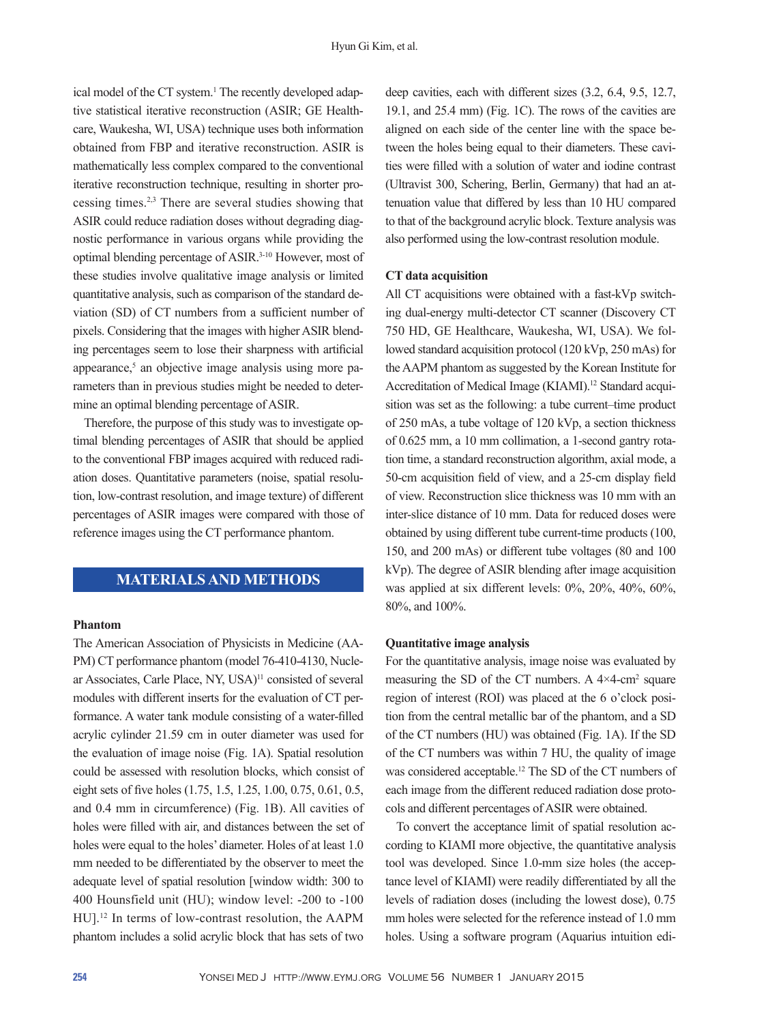ical model of the CT system.<sup>1</sup> The recently developed adaptive statistical iterative reconstruction (ASIR; GE Healthcare, Waukesha, WI, USA) technique uses both information obtained from FBP and iterative reconstruction. ASIR is mathematically less complex compared to the conventional iterative reconstruction technique, resulting in shorter processing times.2,3 There are several studies showing that ASIR could reduce radiation doses without degrading diagnostic performance in various organs while providing the optimal blending percentage of ASIR.3-10 However, most of these studies involve qualitative image analysis or limited quantitative analysis, such as comparison of the standard deviation (SD) of CT numbers from a sufficient number of pixels. Considering that the images with higher ASIR blending percentages seem to lose their sharpness with artificial appearance,<sup>5</sup> an objective image analysis using more parameters than in previous studies might be needed to determine an optimal blending percentage of ASIR.

Therefore, the purpose of this study was to investigate optimal blending percentages of ASIR that should be applied to the conventional FBP images acquired with reduced radiation doses. Quantitative parameters (noise, spatial resolution, low-contrast resolution, and image texture) of different percentages of ASIR images were compared with those of reference images using the CT performance phantom.

# **MATERIALS AND METHODS**

#### **Phantom**

The American Association of Physicists in Medicine (AA-PM) CT performance phantom (model 76-410-4130, Nuclear Associates, Carle Place, NY, USA)<sup>11</sup> consisted of several modules with different inserts for the evaluation of CT performance. A water tank module consisting of a water-filled acrylic cylinder 21.59 cm in outer diameter was used for the evaluation of image noise (Fig. 1A). Spatial resolution could be assessed with resolution blocks, which consist of eight sets of five holes (1.75, 1.5, 1.25, 1.00, 0.75, 0.61, 0.5, and 0.4 mm in circumference) (Fig. 1B). All cavities of holes were filled with air, and distances between the set of holes were equal to the holes' diameter. Holes of at least 1.0 mm needed to be differentiated by the observer to meet the adequate level of spatial resolution [window width: 300 to 400 Hounsfield unit (HU); window level: -200 to -100 HU].12 In terms of low-contrast resolution, the AAPM phantom includes a solid acrylic block that has sets of two

deep cavities, each with different sizes (3.2, 6.4, 9.5, 12.7, 19.1, and 25.4 mm) (Fig. 1C). The rows of the cavities are aligned on each side of the center line with the space between the holes being equal to their diameters. These cavities were filled with a solution of water and iodine contrast (Ultravist 300, Schering, Berlin, Germany) that had an attenuation value that differed by less than 10 HU compared to that of the background acrylic block. Texture analysis was also performed using the low-contrast resolution module.

# **CT data acquisition**

All CT acquisitions were obtained with a fast-kVp switching dual-energy multi-detector CT scanner (Discovery CT 750 HD, GE Healthcare, Waukesha, WI, USA). We followed standard acquisition protocol (120 kVp, 250 mAs) for the AAPM phantom as suggested by the Korean Institute for Accreditation of Medical Image (KIAMI).<sup>12</sup> Standard acquisition was set as the following: a tube current-time product of 250 mAs, a tube voltage of 120 kVp, a section thickness of 0.625 mm, a 10 mm collimation, a 1-second gantry rotation time, a standard reconstruction algorithm, axial mode, a 50-cm acquisition field of view, and a 25-cm display field of view. Reconstruction slice thickness was 10 mm with an inter-slice distance of 10 mm. Data for reduced doses were obtained by using different tube current-time products (100, 150, and 200 mAs) or different tube voltages (80 and 100 kVp). The degree of ASIR blending after image acquisition was applied at six different levels: 0%, 20%, 40%, 60%, 80%, and 100%.

# **Quantitative image analysis**

For the quantitative analysis, image noise was evaluated by measuring the SD of the CT numbers. A  $4\times4$ -cm<sup>2</sup> square region of interest (ROI) was placed at the 6 o'clock position from the central metallic bar of the phantom, and a SD of the CT numbers (HU) was obtained (Fig. 1A). If the SD of the CT numbers was within 7 HU, the quality of image was considered acceptable.<sup>12</sup> The SD of the CT numbers of each image from the different reduced radiation dose protocols and different percentages of ASIR were obtained.

To convert the acceptance limit of spatial resolution according to KIAMI more objective, the quantitative analysis tool was developed. Since 1.0-mm size holes (the acceptance level of KIAMI) were readily differentiated by all the levels of radiation doses (including the lowest dose), 0.75 mm holes were selected for the reference instead of 1.0 mm holes. Using a software program (Aquarius intuition edi-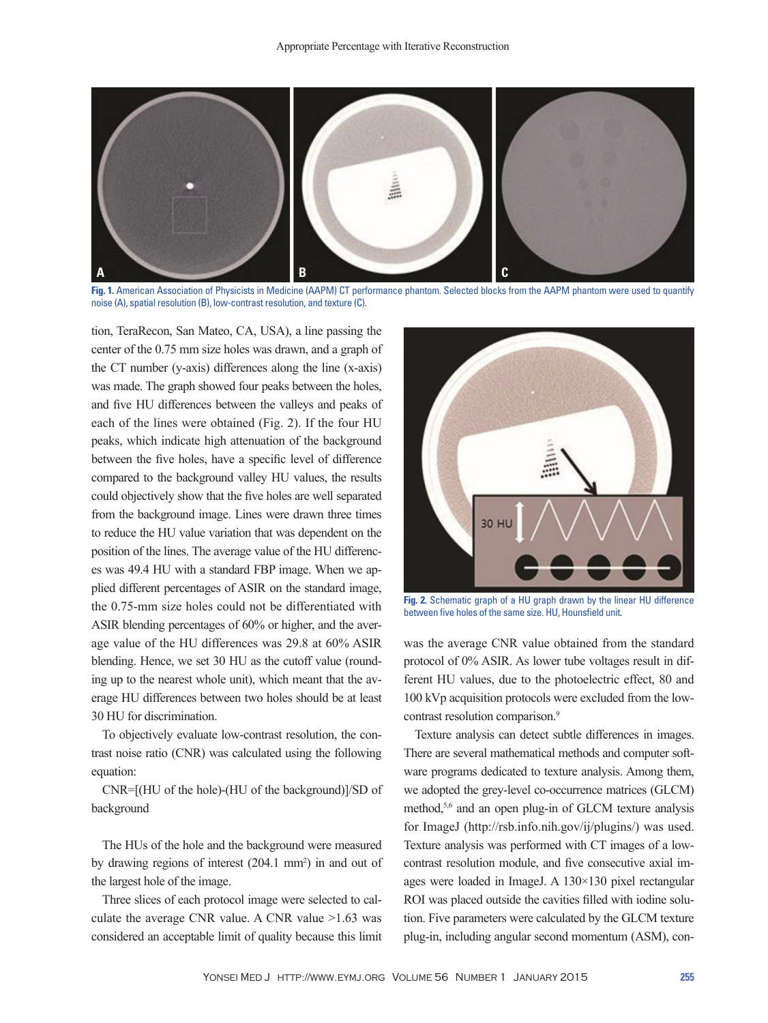

**Fig. 1.** American Association of Physicists in Medicine (AAPM) CT performance phantom. Selected blocks from the AAPM phantom were used to quantify noise (A), spatial resolution (B), low-contrast resolution, and texture (C).

tion, TeraRecon, San Mateo, CA, USA), a line passing the center of the 0.75 mm size holes was drawn, and a graph of the CT number (y-axis) differences along the line (x-axis) was made. The graph showed four peaks between the holes, and five HU differences between the valleys and peaks of each of the lines were obtained (Fig. 2). If the four HU peaks, which indicate high attenuation of the background between the five holes, have a specific level of difference compared to the background valley HU values, the results could objectively show that the five holes are well separated from the background image. Lines were drawn three times to reduce the HU value variation that was dependent on the position of the lines. The average value of the HU differences was 49.4 HU with a standard FBP image. When we applied different percentages of ASIR on the standard image, the 0.75-mm size holes could not be differentiated with ASIR blending percentages of 60% or higher, and the average value of the HU differences was 29.8 at 60% ASIR blending. Hence, we set 30 HU as the cutoff value (rounding up to the nearest whole unit), which meant that the average HU differences between two holes should be at least 30 HU for discrimination.

To objectively evaluate low-contrast resolution, the contrast noise ratio (CNR) was calculated using the following equation:

CNR=[(HU of the hole)-(HU of the background)]/SD of background

The HUs of the hole and the background were measured by drawing regions of interest (204.1 mm<sup>2</sup>) in and out of the largest hole of the image.

Three slices of each protocol image were selected to calculate the average CNR value. A CNR value >1.63 was considered an acceptable limit of quality because this limit



**Fig. 2.** Schematic graph of a HU graph drawn by the linear HU difference between five holes of the same size. HU, Hounsfield unit.

was the average CNR value obtained from the standard protocol of 0% ASIR. As lower tube voltages result in different HU values, due to the photoelectric effect, 80 and 100 kVp acquisition protocols were excluded from the lowcontrast resolution comparison.<sup>9</sup>

Texture analysis can detect subtle differences in images. There are several mathematical methods and computer software programs dedicated to texture analysis. Among them, we adopted the grey-level co-occurrence matrices (GLCM) method,5,6 and an open plug-in of GLCM texture analysis for ImageJ (http://rsb.info.nih.gov/ij/plugins/) was used. Texture analysis was performed with CT images of a lowcontrast resolution module, and five consecutive axial images were loaded in ImageJ. A 130×130 pixel rectangular ROI was placed outside the cavities filled with iodine solution. Five parameters were calculated by the GLCM texture plug-in, including angular second momentum (ASM), con-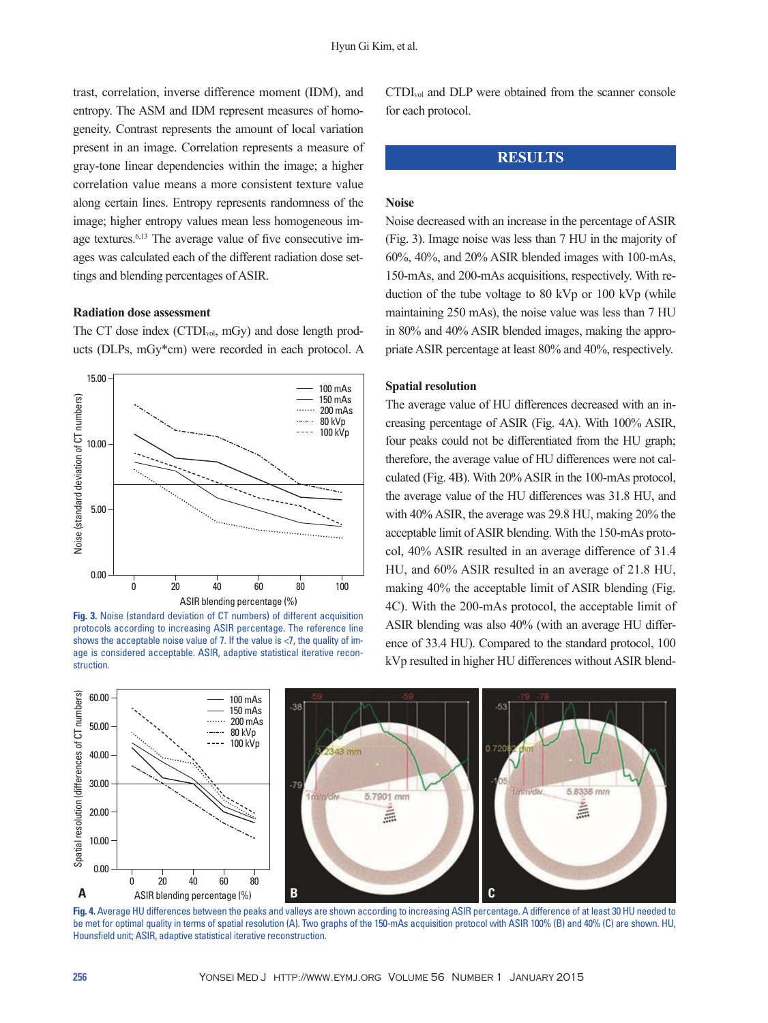trast, correlation, inverse difference moment (IDM), and entropy. The ASM and IDM represent measures of homogeneity. Contrast represents the amount of local variation present in an image. Correlation represents a measure of gray-tone linear dependencies within the image; a higher correlation value means a more consistent texture value along certain lines. Entropy represents randomness of the image; higher entropy values mean less homogeneous image textures.<sup>6,13</sup> The average value of five consecutive images was calculated each of the different radiation dose settings and blending percentages of ASIR.

# **Radiation dose assessment**

The CT dose index (CTDI<sub>vol</sub>, mGy) and dose length products (DLPs, mGy\*cm) were recorded in each protocol. A



**Fig. 3.** Noise (standard deviation of CT numbers) of different acquisition protocols according to increasing ASIR percentage. The reference line shows the acceptable noise value of 7. If the value is  $<$ 7, the quality of image is considered acceptable. ASIR, adaptive statistical iterative reconstruction.

CTDIvol and DLP were obtained from the scanner console for each protocol.

# **RESULTS**

# **Noise**

Noise decreased with an increase in the percentage of ASIR (Fig. 3). Image noise was less than 7 HU in the majority of 60%, 40%, and 20% ASIR blended images with 100-mAs, 150-mAs, and 200-mAs acquisitions, respectively. With reduction of the tube voltage to 80 kVp or 100 kVp (while maintaining 250 mAs), the noise value was less than 7 HU in 80% and 40% ASIR blended images, making the appropriate ASIR percentage at least 80% and 40%, respectively.

#### **Spatial resolution**

The average value of HU differences decreased with an increasing percentage of ASIR (Fig. 4A). With 100% ASIR, four peaks could not be differentiated from the HU graph; therefore, the average value of HU differences were not calculated (Fig. 4B). With 20% ASIR in the 100-mAs protocol, the average value of the HU differences was 31.8 HU, and with 40% ASIR, the average was 29.8 HU, making 20% the acceptable limit of ASIR blending. With the 150-mAs protocol, 40% ASIR resulted in an average difference of 31.4 HU, and 60% ASIR resulted in an average of 21.8 HU, making 40% the acceptable limit of ASIR blending (Fig. 4C). With the 200-mAs protocol, the acceptable limit of ASIR blending was also 40% (with an average HU difference of 33.4 HU). Compared to the standard protocol, 100 kVp resulted in higher HU differences without ASIR blend-



**Fig. 4.** Average HU differences between the peaks and valleys are shown according to increasing ASIR percentage. A difference of at least 30 HU needed to be met for optimal quality in terms of spatial resolution (A). Two graphs of the 150-mAs acquisition protocol with ASIR 100% (B) and 40% (C) are shown. HU, Hounsfield unit; ASIR, adaptive statistical iterative reconstruction.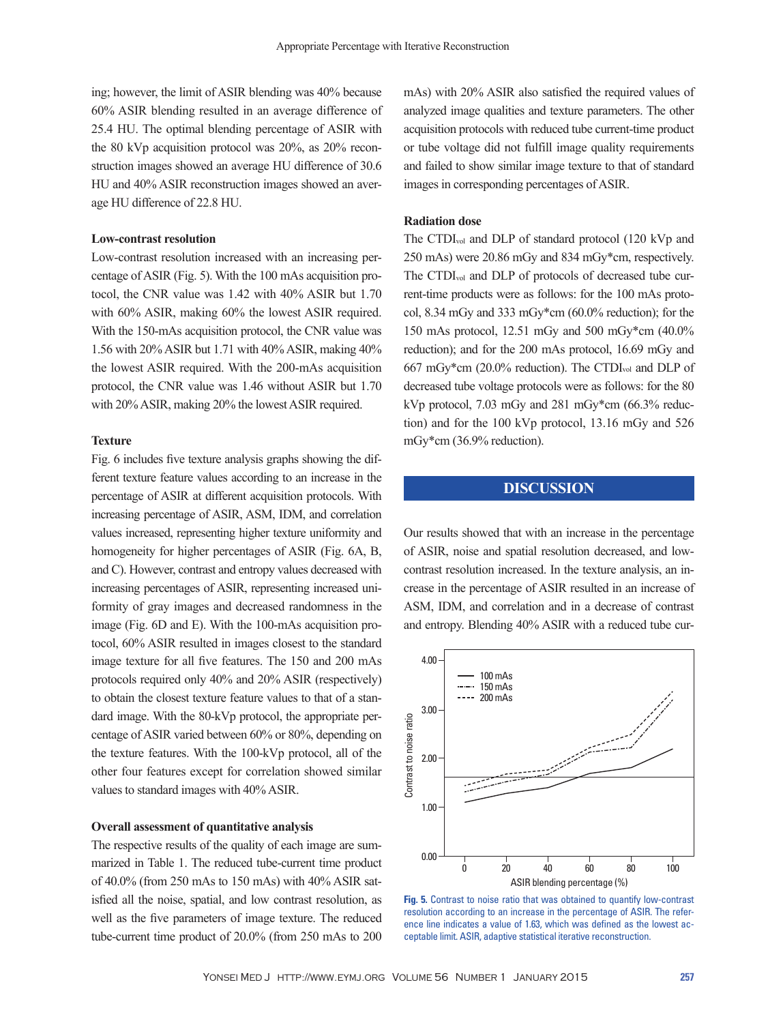ing; however, the limit of ASIR blending was 40% because 60% ASIR blending resulted in an average difference of 25.4 HU. The optimal blending percentage of ASIR with the 80 kVp acquisition protocol was 20%, as 20% reconstruction images showed an average HU difference of 30.6 HU and 40% ASIR reconstruction images showed an average HU difference of 22.8 HU.

# **Low-contrast resolution**

Low-contrast resolution increased with an increasing percentage of ASIR (Fig. 5). With the 100 mAs acquisition protocol, the CNR value was 1.42 with 40% ASIR but 1.70 with 60% ASIR, making 60% the lowest ASIR required. With the 150-mAs acquisition protocol, the CNR value was 1.56 with 20% ASIR but 1.71 with 40% ASIR, making 40% the lowest ASIR required. With the 200-mAs acquisition protocol, the CNR value was 1.46 without ASIR but 1.70 with 20% ASIR, making 20% the lowest ASIR required.

# **Texture**

Fig. 6 includes five texture analysis graphs showing the different texture feature values according to an increase in the percentage of ASIR at different acquisition protocols. With increasing percentage of ASIR, ASM, IDM, and correlation values increased, representing higher texture uniformity and homogeneity for higher percentages of ASIR (Fig. 6A, B, and C). However, contrast and entropy values decreased with increasing percentages of ASIR, representing increased uniformity of gray images and decreased randomness in the image (Fig. 6D and E). With the 100-mAs acquisition protocol, 60% ASIR resulted in images closest to the standard image texture for all five features. The 150 and 200 mAs protocols required only 40% and 20% ASIR (respectively) to obtain the closest texture feature values to that of a standard image. With the 80-kVp protocol, the appropriate percentage of ASIR varied between 60% or 80%, depending on the texture features. With the 100-kVp protocol, all of the other four features except for correlation showed similar values to standard images with 40% ASIR.

# **Overall assessment of quantitative analysis**

The respective results of the quality of each image are summarized in Table 1. The reduced tube-current time product of 40.0% (from 250 mAs to 150 mAs) with 40% ASIR satisfied all the noise, spatial, and low contrast resolution, as well as the five parameters of image texture. The reduced tube-current time product of 20.0% (from 250 mAs to 200 mAs) with 20% ASIR also satisfied the required values of analyzed image qualities and texture parameters. The other acquisition protocols with reduced tube current-time product or tube voltage did not fulfill image quality requirements and failed to show similar image texture to that of standard images in corresponding percentages of ASIR.

#### **Radiation dose**

The CTDIvol and DLP of standard protocol (120 kVp and 250 mAs) were 20.86 mGy and 834 mGy\*cm, respectively. The CTDIvol and DLP of protocols of decreased tube current-time products were as follows: for the 100 mAs protocol, 8.34 mGy and 333 mGy\*cm (60.0% reduction); for the 150 mAs protocol, 12.51 mGy and 500 mGy\*cm (40.0% reduction); and for the 200 mAs protocol, 16.69 mGy and 667 mGy\*cm (20.0% reduction). The CTDIvol and DLP of decreased tube voltage protocols were as follows: for the 80 kVp protocol, 7.03 mGy and 281 mGy\*cm (66.3% reduction) and for the 100 kVp protocol, 13.16 mGy and 526 mGy\*cm (36.9% reduction).

# **DISCUSSION**

Our results showed that with an increase in the percentage of ASIR, noise and spatial resolution decreased, and lowcontrast resolution increased. In the texture analysis, an increase in the percentage of ASIR resulted in an increase of ASM, IDM, and correlation and in a decrease of contrast and entropy. Blending 40% ASIR with a reduced tube cur-



**Fig. 5.** Contrast to noise ratio that was obtained to quantify low-contrast resolution according to an increase in the percentage of ASIR. The reference line indicates a value of 1.63, which was defined as the lowest acceptable limit. ASIR, adaptive statistical iterative reconstruction.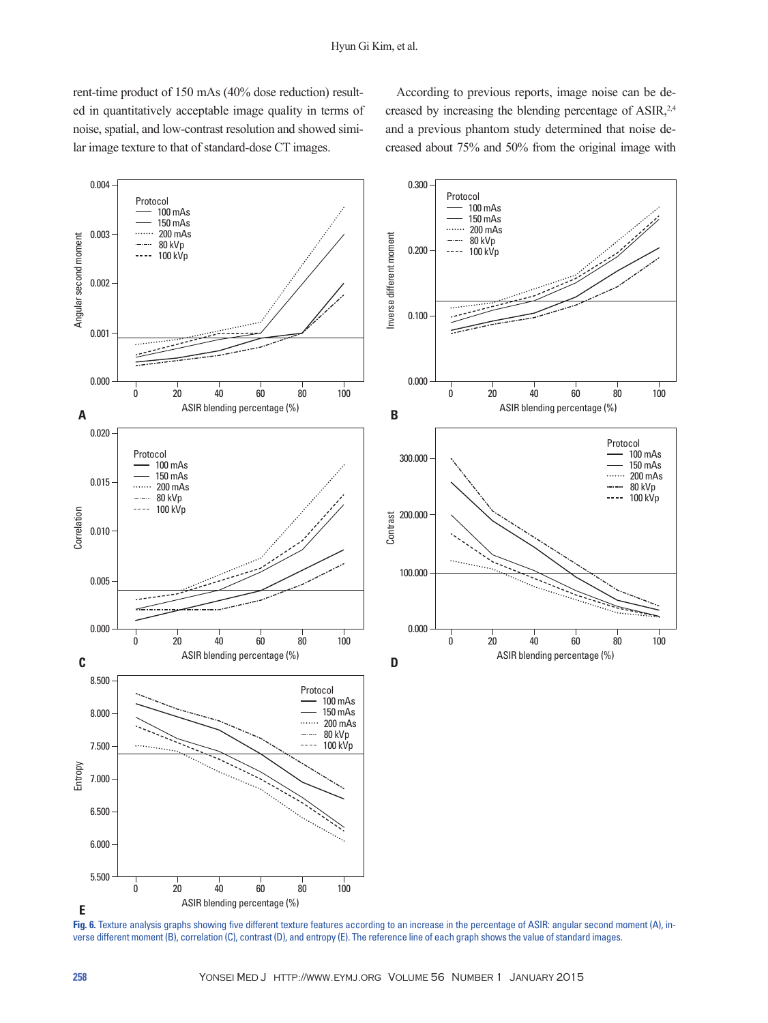rent-time product of 150 mAs (40% dose reduction) resulted in quantitatively acceptable image quality in terms of noise, spatial, and low-contrast resolution and showed similar image texture to that of standard-dose CT images.

According to previous reports, image noise can be decreased by increasing the blending percentage of ASIR,<sup>2,4</sup> and a previous phantom study determined that noise decreased about 75% and 50% from the original image with



**Fig. 6.** Texture analysis graphs showing five different texture features according to an increase in the percentage of ASIR: angular second moment (A), inverse different moment (B), correlation (C), contrast (D), and entropy (E). The reference line of each graph shows the value of standard images.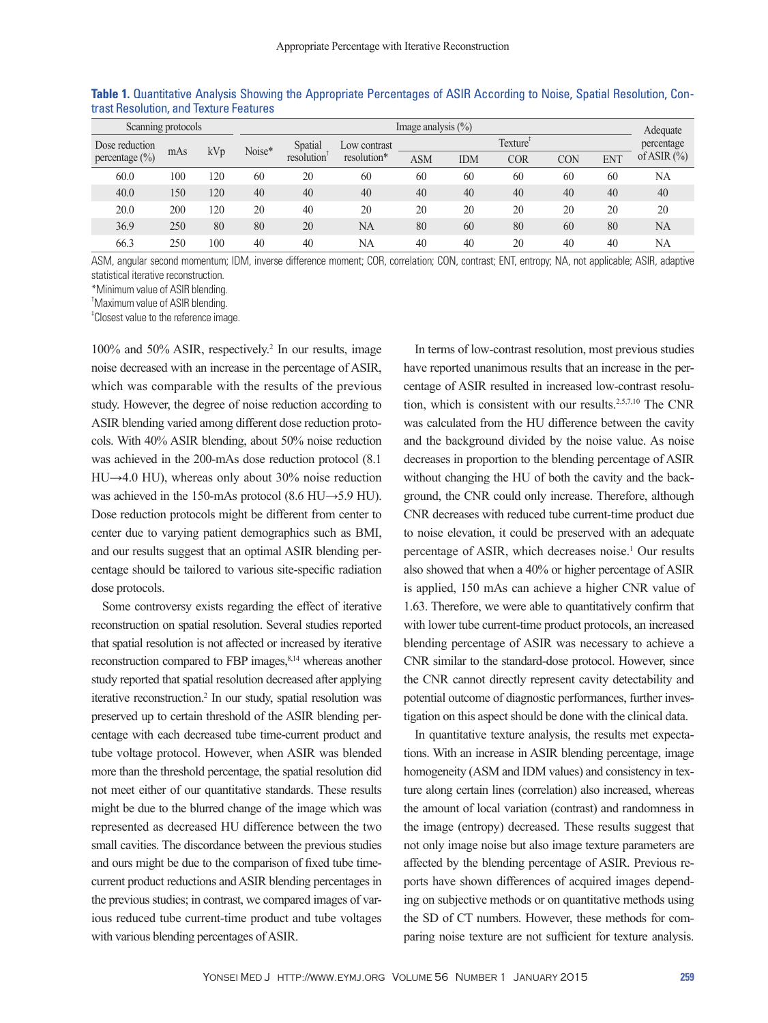| Scanning protocols                  |     |     | Image analysis $(\%)$ |                        |                             |                      |            |            |            |     | Adequate        |
|-------------------------------------|-----|-----|-----------------------|------------------------|-----------------------------|----------------------|------------|------------|------------|-----|-----------------|
| Dose reduction<br>percentage $(\%)$ | mAs | kVp | Noise*                | Spatial<br>resolution' | Low contrast<br>resolution* | Texture <sup>+</sup> |            |            |            |     | percentage      |
|                                     |     |     |                       |                        |                             | <b>ASM</b>           | <b>IDM</b> | <b>COR</b> | <b>CON</b> | ENT | of ASIR $(\% )$ |
| 60.0                                | 100 | 120 | 60                    | 20                     | 60                          | 60                   | 60         | 60         | 60         | 60  | NA              |
| 40.0                                | 150 | 120 | 40                    | 40                     | 40                          | 40                   | 40         | 40         | 40         | 40  | 40              |
| 20.0                                | 200 | 120 | 20                    | 40                     | 20                          | 20                   | 20         | 20         | 20         | 20  | 20              |
| 36.9                                | 250 | 80  | 80                    | 20                     | NA                          | 80                   | 60         | 80         | 60         | 80  | <b>NA</b>       |
| 66.3                                | 250 | 100 | 40                    | 40                     | NA                          | 40                   | 40         | 20         | 40         | 40  | <b>NA</b>       |

**Table 1.** Quantitative Analysis Showing the Appropriate Percentages of ASIR According to Noise, Spatial Resolution, Contrast Resolution, and Texture Features

ASM, angular second momentum; IDM, inverse difference moment; COR, correlation; CON, contrast; ENT, entropy; NA, not applicable; ASIR, adaptive statistical iterative reconstruction.

\*Minimum value of ASIR blending.

† Maximum value of ASIR blending.

‡ Closest value to the reference image.

100% and 50% ASIR, respectively.<sup>2</sup> In our results, image noise decreased with an increase in the percentage of ASIR, which was comparable with the results of the previous study. However, the degree of noise reduction according to ASIR blending varied among different dose reduction protocols. With 40% ASIR blending, about 50% noise reduction was achieved in the 200-mAs dose reduction protocol (8.1 HU→4.0 HU), whereas only about 30% noise reduction was achieved in the 150-mAs protocol (8.6 HU $\rightarrow$ 5.9 HU). Dose reduction protocols might be different from center to center due to varying patient demographics such as BMI, and our results suggest that an optimal ASIR blending percentage should be tailored to various site-specific radiation dose protocols.

Some controversy exists regarding the effect of iterative reconstruction on spatial resolution. Several studies reported that spatial resolution is not affected or increased by iterative reconstruction compared to FBP images,  $8,14$  whereas another study reported that spatial resolution decreased after applying iterative reconstruction.<sup>2</sup> In our study, spatial resolution was preserved up to certain threshold of the ASIR blending percentage with each decreased tube time-current product and tube voltage protocol. However, when ASIR was blended more than the threshold percentage, the spatial resolution did not meet either of our quantitative standards. These results might be due to the blurred change of the image which was represented as decreased HU difference between the two small cavities. The discordance between the previous studies and ours might be due to the comparison of fixed tube timecurrent product reductions and ASIR blending percentages in the previous studies; in contrast, we compared images of various reduced tube current-time product and tube voltages with various blending percentages of ASIR.

In terms of low-contrast resolution, most previous studies have reported unanimous results that an increase in the percentage of ASIR resulted in increased low-contrast resolution, which is consistent with our results.<sup>2,5,7,10</sup> The CNR was calculated from the HU difference between the cavity and the background divided by the noise value. As noise decreases in proportion to the blending percentage of ASIR without changing the HU of both the cavity and the background, the CNR could only increase. Therefore, although CNR decreases with reduced tube current-time product due to noise elevation, it could be preserved with an adequate percentage of ASIR, which decreases noise.<sup>1</sup> Our results also showed that when a 40% or higher percentage of ASIR is applied, 150 mAs can achieve a higher CNR value of 1.63. Therefore, we were able to quantitatively confirm that with lower tube current-time product protocols, an increased blending percentage of ASIR was necessary to achieve a CNR similar to the standard-dose protocol. However, since the CNR cannot directly represent cavity detectability and potential outcome of diagnostic performances, further investigation on this aspect should be done with the clinical data.

In quantitative texture analysis, the results met expectations. With an increase in ASIR blending percentage, image homogeneity (ASM and IDM values) and consistency in texture along certain lines (correlation) also increased, whereas the amount of local variation (contrast) and randomness in the image (entropy) decreased. These results suggest that not only image noise but also image texture parameters are affected by the blending percentage of ASIR. Previous reports have shown differences of acquired images depending on subjective methods or on quantitative methods using the SD of CT numbers. However, these methods for comparing noise texture are not sufficient for texture analysis.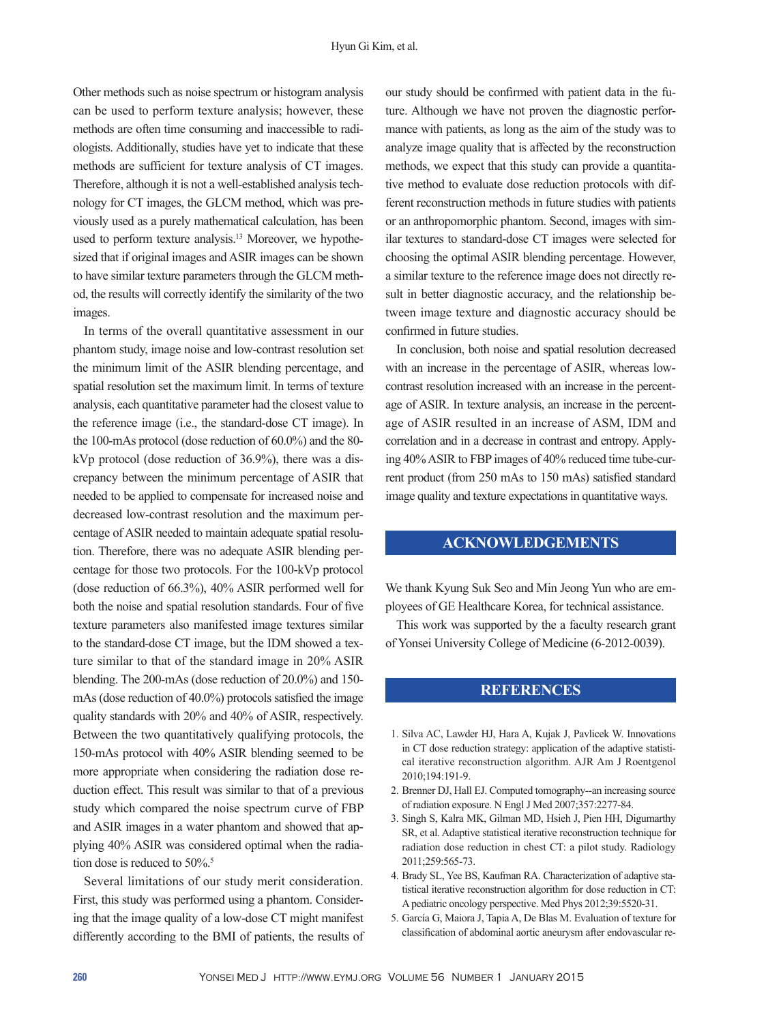Other methods such as noise spectrum or histogram analysis can be used to perform texture analysis; however, these methods are often time consuming and inaccessible to radiologists. Additionally, studies have yet to indicate that these methods are sufficient for texture analysis of CT images. Therefore, although it is not a well-established analysis technology for CT images, the GLCM method, which was previously used as a purely mathematical calculation, has been used to perform texture analysis.<sup>13</sup> Moreover, we hypothesized that if original images and ASIR images can be shown to have similar texture parameters through the GLCM method, the results will correctly identify the similarity of the two images.

In terms of the overall quantitative assessment in our phantom study, image noise and low-contrast resolution set the minimum limit of the ASIR blending percentage, and spatial resolution set the maximum limit. In terms of texture analysis, each quantitative parameter had the closest value to the reference image (i.e., the standard-dose CT image). In the 100-mAs protocol (dose reduction of 60.0%) and the 80 kVp protocol (dose reduction of 36.9%), there was a discrepancy between the minimum percentage of ASIR that needed to be applied to compensate for increased noise and decreased low-contrast resolution and the maximum percentage of ASIR needed to maintain adequate spatial resolution. Therefore, there was no adequate ASIR blending percentage for those two protocols. For the 100-kVp protocol (dose reduction of 66.3%), 40% ASIR performed well for both the noise and spatial resolution standards. Four of five texture parameters also manifested image textures similar to the standard-dose CT image, but the IDM showed a texture similar to that of the standard image in 20% ASIR blending. The 200-mAs (dose reduction of 20.0%) and 150 mAs (dose reduction of 40.0%) protocols satisfied the image quality standards with 20% and 40% of ASIR, respectively. Between the two quantitatively qualifying protocols, the 150-mAs protocol with 40% ASIR blending seemed to be more appropriate when considering the radiation dose reduction effect. This result was similar to that of a previous study which compared the noise spectrum curve of FBP and ASIR images in a water phantom and showed that applying 40% ASIR was considered optimal when the radiation dose is reduced to 50%.<sup>5</sup>

Several limitations of our study merit consideration. First, this study was performed using a phantom. Considering that the image quality of a low-dose CT might manifest differently according to the BMI of patients, the results of

our study should be confirmed with patient data in the future. Although we have not proven the diagnostic performance with patients, as long as the aim of the study was to analyze image quality that is affected by the reconstruction methods, we expect that this study can provide a quantitative method to evaluate dose reduction protocols with different reconstruction methods in future studies with patients or an anthropomorphic phantom. Second, images with similar textures to standard-dose CT images were selected for choosing the optimal ASIR blending percentage. However, a similar texture to the reference image does not directly result in better diagnostic accuracy, and the relationship between image texture and diagnostic accuracy should be confirmed in future studies.

In conclusion, both noise and spatial resolution decreased with an increase in the percentage of ASIR, whereas lowcontrast resolution increased with an increase in the percentage of ASIR. In texture analysis, an increase in the percentage of ASIR resulted in an increase of ASM, IDM and correlation and in a decrease in contrast and entropy. Applying 40% ASIR to FBP images of 40% reduced time tube-current product (from 250 mAs to 150 mAs) satisfied standard image quality and texture expectations in quantitative ways.

# **ACKNOWLEDGEMENTS**

We thank Kyung Suk Seo and Min Jeong Yun who are employees of GE Healthcare Korea, for technical assistance.

This work was supported by the a faculty research grant of Yonsei University College of Medicine (6-2012-0039).

# **REFERENCES**

- 1. Silva AC, Lawder HJ, Hara A, Kujak J, Pavlicek W. Innovations in CT dose reduction strategy: application of the adaptive statistical iterative reconstruction algorithm. AJR Am J Roentgenol 2010;194:191-9.
- 2. Brenner DJ, Hall EJ. Computed tomography--an increasing source of radiation exposure. N Engl J Med 2007;357:2277-84.
- 3. Singh S, Kalra MK, Gilman MD, Hsieh J, Pien HH, Digumarthy SR, et al. Adaptive statistical iterative reconstruction technique for radiation dose reduction in chest CT: a pilot study. Radiology 2011;259:565-73.
- 4. Brady SL, Yee BS, Kaufman RA. Characterization of adaptive statistical iterative reconstruction algorithm for dose reduction in CT: A pediatric oncology perspective. Med Phys 2012;39:5520-31.
- 5. García G, Maiora J, Tapia A, De Blas M. Evaluation of texture for classification of abdominal aortic aneurysm after endovascular re-